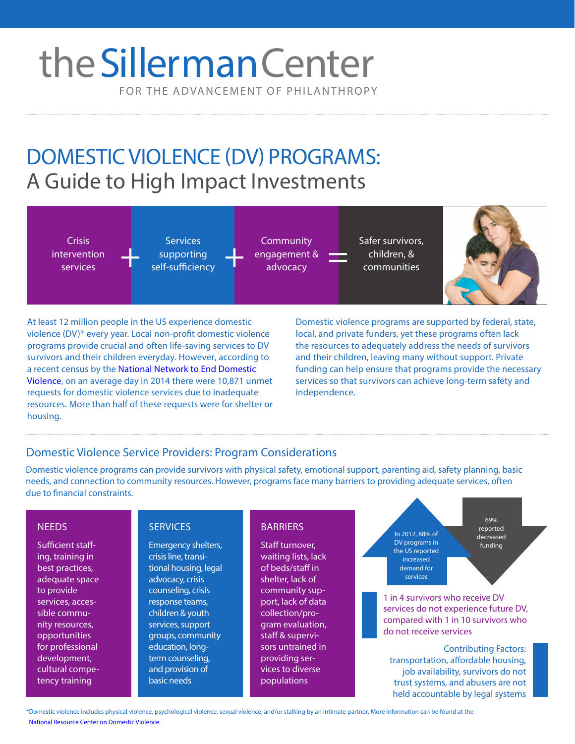# FOR THE ADVANCEMENT OF PHILANTHROPY theSillerman Center

DOMESTIC VIOLENCE (DV) PROGRAMS: A Guide to High Impact Investments



At least 12 million people in the US experience domestic violence (DV)\* every year. Local non-profit domestic violence programs provide crucial and often life-saving services to DV survivors and their children everyday. However, according to [a recent census by the National Network to End Domestic](http://nnedv.org/projects/census.html)  Violence, on an average day in 2014 there were 10,871 unmet requests for domestic violence services due to inadequate resources. More than half of these requests were for shelter or housing.

Domestic violence programs are supported by federal, state, local, and private funders, yet these programs often lack the resources to adequately address the needs of survivors and their children, leaving many without support. Private funding can help ensure that programs provide the necessary services so that survivors can achieve long-term safety and independence.

### Domestic Violence Service Providers: Program Considerations

**SERVICES** 

Domestic violence programs can provide survivors with physical safety, emotional support, parenting aid, safety planning, basic needs, and connection to community resources. However, programs face many barriers to providing adequate services, often due to financial constraints.

**BARRIERS** 

staff & supervisors untrained in providing services to diverse populations

### **NEEDS**

Sufficient staffing, training in best practices, adequate space to provide services, accessible community resources, opportunities for professional development, cultural competency training

Emergency shelters, crisis line, transitional housing, legal advocacy, crisis counseling, crisis response teams, children & youth services, support groups, community education, longterm counseling, and provision of basic needs

Staff turnover, waiting lists, lack of beds/staff in shelter, lack of community support, lack of data collection/program evaluation,

In 2012, 88% of DV programs in the US reported increased demand for services

69% reported decreased funding

1 in 4 survivors who receive DV services do not experience future DV, compared with 1 in 10 survivors who do not receive services

Contributing Factors: transportation, affordable housing, job availability, survivors do not trust systems, and abusers are not held accountable by legal systems

\*[Domestic violence includes physical violence, psychological violence, sexual violence, and/or stalking by an intimate partner. More information can be found at the](http://www.nrcdv.org/)  National Resource Center on Domestic Violence.